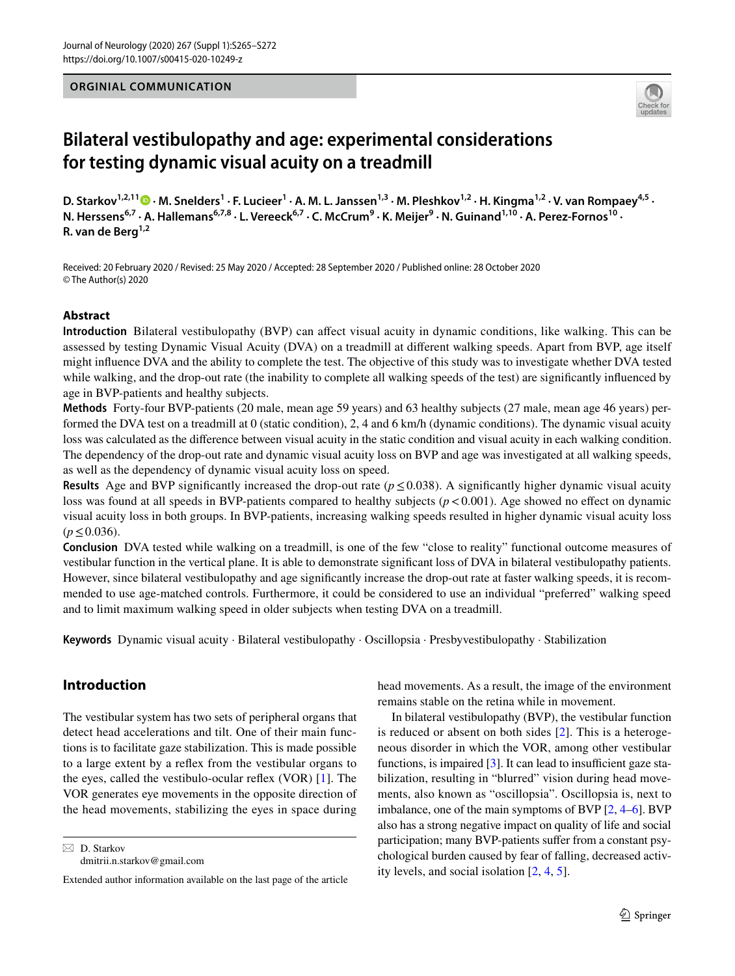#### **ORGINIAL COMMUNICATION**



# **Bilateral vestibulopathy and age: experimental considerations for testing dynamic visual acuity on a treadmill**

D.Starkov<sup>1,2,11</sup>  $\bullet$  · M. Snelders<sup>1</sup> · F. Lucieer<sup>1</sup> · A. M. L. Janssen<sup>1,3</sup> · M. Pleshkov<sup>1,2</sup> · H. Kingma<sup>1,2</sup> · V. van Rompaey<sup>4,5</sup> · N. Herssens<sup>6,7</sup> · A. Hallemans<sup>6,7,8</sup> · L. Vereeck<sup>6,7</sup> · C. McCrum<sup>9</sup> · K. Meijer<sup>9</sup> · N. Guinand<sup>1,10</sup> · A. Perez-Fornos<sup>10</sup> · **R. van de Berg1,2**

Received: 20 February 2020 / Revised: 25 May 2020 / Accepted: 28 September 2020 / Published online: 28 October 2020 © The Author(s) 2020

#### **Abstract**

**Introduction** Bilateral vestibulopathy (BVP) can afect visual acuity in dynamic conditions, like walking. This can be assessed by testing Dynamic Visual Acuity (DVA) on a treadmill at diferent walking speeds. Apart from BVP, age itself might infuence DVA and the ability to complete the test. The objective of this study was to investigate whether DVA tested while walking, and the drop-out rate (the inability to complete all walking speeds of the test) are significantly influenced by age in BVP-patients and healthy subjects.

**Methods** Forty-four BVP-patients (20 male, mean age 59 years) and 63 healthy subjects (27 male, mean age 46 years) performed the DVA test on a treadmill at 0 (static condition), 2, 4 and 6 km/h (dynamic conditions). The dynamic visual acuity loss was calculated as the diference between visual acuity in the static condition and visual acuity in each walking condition. The dependency of the drop-out rate and dynamic visual acuity loss on BVP and age was investigated at all walking speeds, as well as the dependency of dynamic visual acuity loss on speed.

**Results** Age and BVP significantly increased the drop-out rate ( $p \le 0.038$ ). A significantly higher dynamic visual acuity loss was found at all speeds in BVP-patients compared to healthy subjects  $(p < 0.001)$ . Age showed no effect on dynamic visual acuity loss in both groups. In BVP-patients, increasing walking speeds resulted in higher dynamic visual acuity loss (*p*≤0.036).

**Conclusion** DVA tested while walking on a treadmill, is one of the few "close to reality" functional outcome measures of vestibular function in the vertical plane. It is able to demonstrate signifcant loss of DVA in bilateral vestibulopathy patients. However, since bilateral vestibulopathy and age signifcantly increase the drop-out rate at faster walking speeds, it is recommended to use age-matched controls. Furthermore, it could be considered to use an individual "preferred" walking speed and to limit maximum walking speed in older subjects when testing DVA on a treadmill.

**Keywords** Dynamic visual acuity · Bilateral vestibulopathy · Oscillopsia · Presbyvestibulopathy · Stabilization

# **Introduction**

The vestibular system has two sets of peripheral organs that detect head accelerations and tilt. One of their main functions is to facilitate gaze stabilization. This is made possible to a large extent by a refex from the vestibular organs to the eyes, called the vestibulo-ocular refex (VOR) [[1\]](#page-5-0). The VOR generates eye movements in the opposite direction of the head movements, stabilizing the eyes in space during

 $\boxtimes$  D. Starkov dmitrii.n.starkov@gmail.com head movements. As a result, the image of the environment remains stable on the retina while in movement.

In bilateral vestibulopathy (BVP), the vestibular function is reduced or absent on both sides [\[2](#page-5-1)]. This is a heterogeneous disorder in which the VOR, among other vestibular functions, is impaired  $[3]$  $[3]$ . It can lead to insufficient gaze stabilization, resulting in "blurred" vision during head movements, also known as "oscillopsia". Oscillopsia is, next to imbalance, one of the main symptoms of BVP [[2,](#page-5-1) [4](#page-5-3)[–6](#page-5-4)]. BVP also has a strong negative impact on quality of life and social participation; many BVP-patients suffer from a constant psychological burden caused by fear of falling, decreased activity levels, and social isolation [\[2](#page-5-1), [4](#page-5-3), [5](#page-5-5)].

Extended author information available on the last page of the article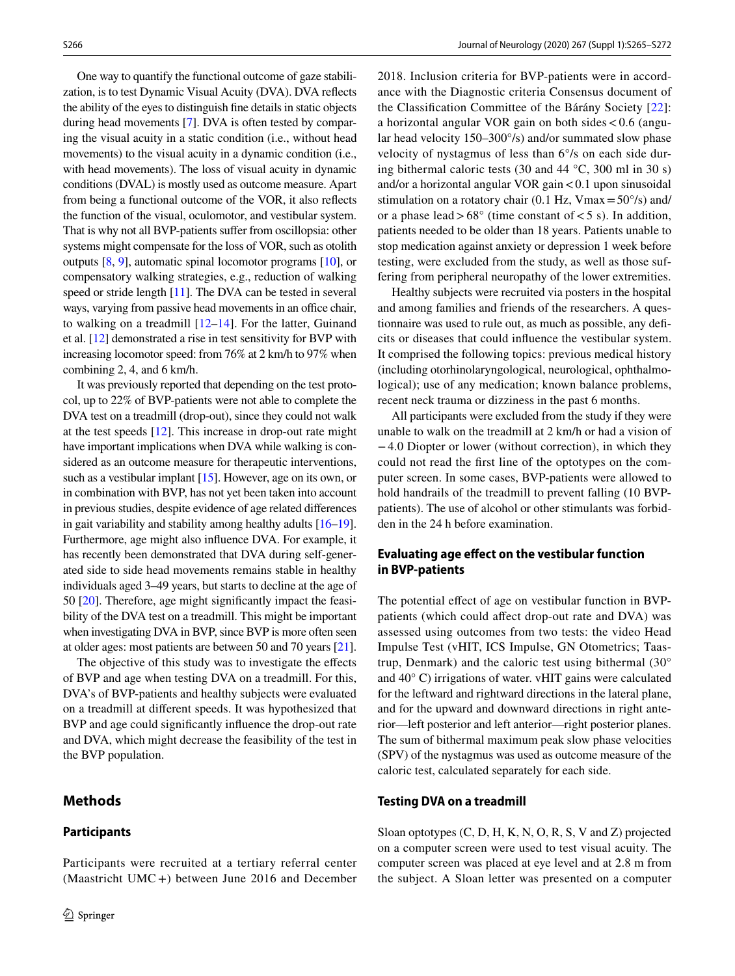One way to quantify the functional outcome of gaze stabilization, is to test Dynamic Visual Acuity (DVA). DVA refects the ability of the eyes to distinguish fne details in static objects during head movements [\[7](#page-5-6)]. DVA is often tested by comparing the visual acuity in a static condition (i.e., without head movements) to the visual acuity in a dynamic condition (i.e., with head movements). The loss of visual acuity in dynamic conditions (DVAL) is mostly used as outcome measure. Apart from being a functional outcome of the VOR, it also refects the function of the visual, oculomotor, and vestibular system. That is why not all BVP-patients suffer from oscillopsia: other systems might compensate for the loss of VOR, such as otolith outputs [[8,](#page-5-7) [9\]](#page-5-8), automatic spinal locomotor programs [[10\]](#page-6-0), or compensatory walking strategies, e.g., reduction of walking speed or stride length [[11\]](#page-6-1). The DVA can be tested in several ways, varying from passive head movements in an office chair, to walking on a treadmill  $[12-14]$  $[12-14]$ . For the latter, Guinand et al. [\[12](#page-6-2)] demonstrated a rise in test sensitivity for BVP with increasing locomotor speed: from 76% at 2 km/h to 97% when combining 2, 4, and 6 km/h.

It was previously reported that depending on the test protocol, up to 22% of BVP-patients were not able to complete the DVA test on a treadmill (drop-out), since they could not walk at the test speeds [[12\]](#page-6-2). This increase in drop-out rate might have important implications when DVA while walking is considered as an outcome measure for therapeutic interventions, such as a vestibular implant [[15](#page-6-4)]. However, age on its own, or in combination with BVP, has not yet been taken into account in previous studies, despite evidence of age related diferences in gait variability and stability among healthy adults [[16–](#page-6-5)[19](#page-6-6)]. Furthermore, age might also infuence DVA. For example, it has recently been demonstrated that DVA during self-generated side to side head movements remains stable in healthy individuals aged 3–49 years, but starts to decline at the age of 50 [[20\]](#page-6-7). Therefore, age might signifcantly impact the feasibility of the DVA test on a treadmill. This might be important when investigating DVA in BVP, since BVP is more often seen at older ages: most patients are between 50 and 70 years [[21](#page-6-8)].

The objective of this study was to investigate the effects of BVP and age when testing DVA on a treadmill. For this, DVA's of BVP-patients and healthy subjects were evaluated on a treadmill at diferent speeds. It was hypothesized that BVP and age could signifcantly infuence the drop-out rate and DVA, which might decrease the feasibility of the test in the BVP population.

Participants were recruited at a tertiary referral center (Maastricht UMC +) between June 2016 and December

## **Methods**

#### **Participants**

2018. Inclusion criteria for BVP-patients were in accordance with the Diagnostic criteria Consensus document of the Classifcation Committee of the Bárány Society [[22\]](#page-6-9): a horizontal angular VOR gain on both sides  $< 0.6$  (angular head velocity 150–300°/s) and/or summated slow phase velocity of nystagmus of less than 6°/s on each side during bithermal caloric tests (30 and 44 °C, 300 ml in 30 s) and/or a horizontal angular VOR gain  $< 0.1$  upon sinusoidal stimulation on a rotatory chair (0.1 Hz,  $V$ max = 50 $\degree$ /s) and/ or a phase lead >  $68^{\circ}$  (time constant of < 5 s). In addition, patients needed to be older than 18 years. Patients unable to stop medication against anxiety or depression 1 week before testing, were excluded from the study, as well as those suffering from peripheral neuropathy of the lower extremities.

Healthy subjects were recruited via posters in the hospital and among families and friends of the researchers. A questionnaire was used to rule out, as much as possible, any defcits or diseases that could infuence the vestibular system. It comprised the following topics: previous medical history (including otorhinolaryngological, neurological, ophthalmological); use of any medication; known balance problems, recent neck trauma or dizziness in the past 6 months.

All participants were excluded from the study if they were unable to walk on the treadmill at 2 km/h or had a vision of −4.0 Diopter or lower (without correction), in which they could not read the frst line of the optotypes on the computer screen. In some cases, BVP-patients were allowed to hold handrails of the treadmill to prevent falling (10 BVPpatients). The use of alcohol or other stimulants was forbidden in the 24 h before examination.

### **Evaluating age efect on the vestibular function in BVP‑patients**

The potential effect of age on vestibular function in BVPpatients (which could afect drop-out rate and DVA) was assessed using outcomes from two tests: the video Head Impulse Test (vHIT, ICS Impulse, GN Otometrics; Taastrup, Denmark) and the caloric test using bithermal (30° and 40° C) irrigations of water. vHIT gains were calculated for the leftward and rightward directions in the lateral plane, and for the upward and downward directions in right anterior—left posterior and left anterior—right posterior planes. The sum of bithermal maximum peak slow phase velocities (SPV) of the nystagmus was used as outcome measure of the caloric test, calculated separately for each side.

#### **Testing DVA on a treadmill**

Sloan optotypes (C, D, H, K, N, O, R, S, V and Z) projected on a computer screen were used to test visual acuity. The computer screen was placed at eye level and at 2.8 m from the subject. A Sloan letter was presented on a computer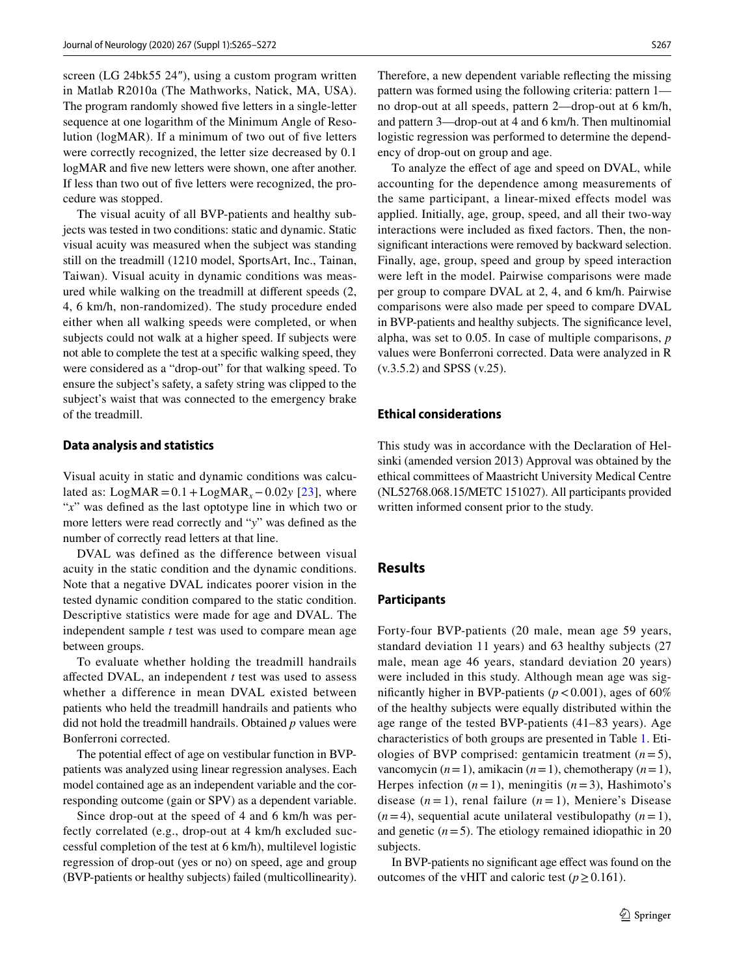screen (LG 24bk55 24″), using a custom program written in Matlab R2010a (The Mathworks, Natick, MA, USA). The program randomly showed fve letters in a single-letter sequence at one logarithm of the Minimum Angle of Resolution (logMAR). If a minimum of two out of five letters were correctly recognized, the letter size decreased by 0.1 logMAR and five new letters were shown, one after another. If less than two out of fve letters were recognized, the procedure was stopped.

The visual acuity of all BVP-patients and healthy subjects was tested in two conditions: static and dynamic. Static visual acuity was measured when the subject was standing still on the treadmill (1210 model, SportsArt, Inc., Tainan, Taiwan). Visual acuity in dynamic conditions was measured while walking on the treadmill at diferent speeds (2, 4, 6 km/h, non-randomized). The study procedure ended either when all walking speeds were completed, or when subjects could not walk at a higher speed. If subjects were not able to complete the test at a specifc walking speed, they were considered as a "drop-out" for that walking speed. To ensure the subject's safety, a safety string was clipped to the subject's waist that was connected to the emergency brake of the treadmill.

#### **Data analysis and statistics**

Visual acuity in static and dynamic conditions was calculated as: LogMAR =  $0.1 +$ LogMAR<sub>*x*</sub> −  $0.02y$  [\[23\]](#page-6-10), where "*x*" was defned as the last optotype line in which two or more letters were read correctly and "*y*" was defned as the number of correctly read letters at that line.

DVAL was defined as the difference between visual acuity in the static condition and the dynamic conditions. Note that a negative DVAL indicates poorer vision in the tested dynamic condition compared to the static condition. Descriptive statistics were made for age and DVAL. The independent sample *t* test was used to compare mean age between groups.

To evaluate whether holding the treadmill handrails afected DVAL, an independent *t* test was used to assess whether a difference in mean DVAL existed between patients who held the treadmill handrails and patients who did not hold the treadmill handrails. Obtained *p* values were Bonferroni corrected.

The potential effect of age on vestibular function in BVPpatients was analyzed using linear regression analyses. Each model contained age as an independent variable and the corresponding outcome (gain or SPV) as a dependent variable.

Since drop-out at the speed of 4 and 6 km/h was perfectly correlated (e.g., drop-out at 4 km/h excluded successful completion of the test at 6 km/h), multilevel logistic regression of drop-out (yes or no) on speed, age and group (BVP-patients or healthy subjects) failed (multicollinearity). Therefore, a new dependent variable refecting the missing pattern was formed using the following criteria: pattern 1 no drop-out at all speeds, pattern 2—drop-out at 6 km/h, and pattern 3—drop-out at 4 and 6 km/h. Then multinomial logistic regression was performed to determine the dependency of drop-out on group and age.

To analyze the effect of age and speed on DVAL, while accounting for the dependence among measurements of the same participant, a linear-mixed effects model was applied. Initially, age, group, speed, and all their two-way interactions were included as fxed factors. Then, the nonsignifcant interactions were removed by backward selection. Finally, age, group, speed and group by speed interaction were left in the model. Pairwise comparisons were made per group to compare DVAL at 2, 4, and 6 km/h. Pairwise comparisons were also made per speed to compare DVAL in BVP-patients and healthy subjects. The signifcance level, alpha, was set to 0.05. In case of multiple comparisons, *p* values were Bonferroni corrected. Data were analyzed in R (v.3.5.2) and SPSS (v.25).

#### **Ethical considerations**

This study was in accordance with the Declaration of Helsinki (amended version 2013) Approval was obtained by the ethical committees of Maastricht University Medical Centre (NL52768.068.15/METC 151027). All participants provided written informed consent prior to the study.

#### **Results**

#### **Participants**

Forty-four BVP-patients (20 male, mean age 59 years, standard deviation 11 years) and 63 healthy subjects (27 male, mean age 46 years, standard deviation 20 years) were included in this study. Although mean age was significantly higher in BVP-patients ( $p < 0.001$ ), ages of 60% of the healthy subjects were equally distributed within the age range of the tested BVP-patients (41–83 years). Age characteristics of both groups are presented in Table [1](#page-3-0). Etiologies of BVP comprised: gentamicin treatment  $(n=5)$ , vancomycin  $(n=1)$ , amikacin  $(n=1)$ , chemotherapy  $(n=1)$ , Herpes infection  $(n=1)$ , meningitis  $(n=3)$ , Hashimoto's disease  $(n=1)$ , renal failure  $(n=1)$ , Meniere's Disease  $(n=4)$ , sequential acute unilateral vestibulopathy  $(n=1)$ , and genetic  $(n=5)$ . The etiology remained idiopathic in 20 subjects.

In BVP-patients no signifcant age efect was found on the outcomes of the vHIT and caloric test ( $p \ge 0.161$ ).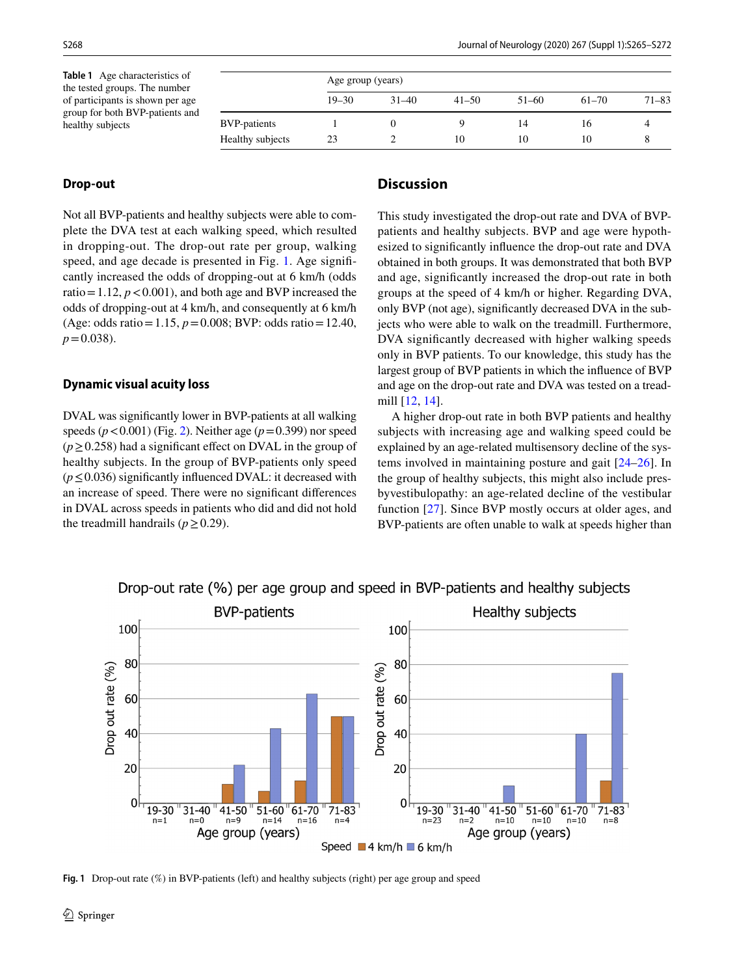<span id="page-3-0"></span>**Table 1** Age characteristics of the tested groups. The number of participants is shown per age group for both BVP-patients and healthy subjects

|                     | Age group (years) |           |           |           |           |           |
|---------------------|-------------------|-----------|-----------|-----------|-----------|-----------|
|                     | $19 - 30$         | $31 - 40$ | $41 - 50$ | $51 - 60$ | $61 - 70$ | $71 - 83$ |
| <b>BVP-patients</b> |                   |           |           | 14        | 16        | 4         |
| Healthy subjects    | 23                |           | 10        | 10        | 10        |           |

#### **Drop‑out**

Not all BVP-patients and healthy subjects were able to complete the DVA test at each walking speed, which resulted in dropping-out. The drop-out rate per group, walking speed, and age decade is presented in Fig. [1.](#page-3-1) Age signifcantly increased the odds of dropping-out at 6 km/h (odds ratio = 1.12,  $p < 0.001$ ), and both age and BVP increased the odds of dropping-out at 4 km/h, and consequently at 6 km/h (Age: odds ratio=1.15, *p*=0.008; BVP: odds ratio=12.40,  $p = 0.038$ ).

#### **Dynamic visual acuity loss**

DVAL was signifcantly lower in BVP-patients at all walking speeds  $(p < 0.001)$  (Fig. [2\)](#page-4-0). Neither age  $(p = 0.399)$  nor speed (*p*≥0.258) had a signifcant efect on DVAL in the group of healthy subjects. In the group of BVP-patients only speed (*p*≤0.036) signifcantly infuenced DVAL: it decreased with an increase of speed. There were no signifcant diferences in DVAL across speeds in patients who did and did not hold the treadmill handrails ( $p \ge 0.29$ ).

#### **Discussion**

This study investigated the drop-out rate and DVA of BVPpatients and healthy subjects. BVP and age were hypothesized to signifcantly infuence the drop-out rate and DVA obtained in both groups. It was demonstrated that both BVP and age, signifcantly increased the drop-out rate in both groups at the speed of 4 km/h or higher. Regarding DVA, only BVP (not age), signifcantly decreased DVA in the subjects who were able to walk on the treadmill. Furthermore, DVA signifcantly decreased with higher walking speeds only in BVP patients. To our knowledge, this study has the largest group of BVP patients in which the infuence of BVP and age on the drop-out rate and DVA was tested on a treadmill [\[12](#page-6-2), [14](#page-6-3)].

A higher drop-out rate in both BVP patients and healthy subjects with increasing age and walking speed could be explained by an age-related multisensory decline of the systems involved in maintaining posture and gait [\[24–](#page-6-11)[26\]](#page-6-12). In the group of healthy subjects, this might also include presbyvestibulopathy: an age-related decline of the vestibular function [\[27](#page-6-13)]. Since BVP mostly occurs at older ages, and BVP-patients are often unable to walk at speeds higher than



Drop-out rate (%) per age group and speed in BVP-patients and healthy subjects

<span id="page-3-1"></span>**Fig. 1** Drop-out rate (%) in BVP-patients (left) and healthy subjects (right) per age group and speed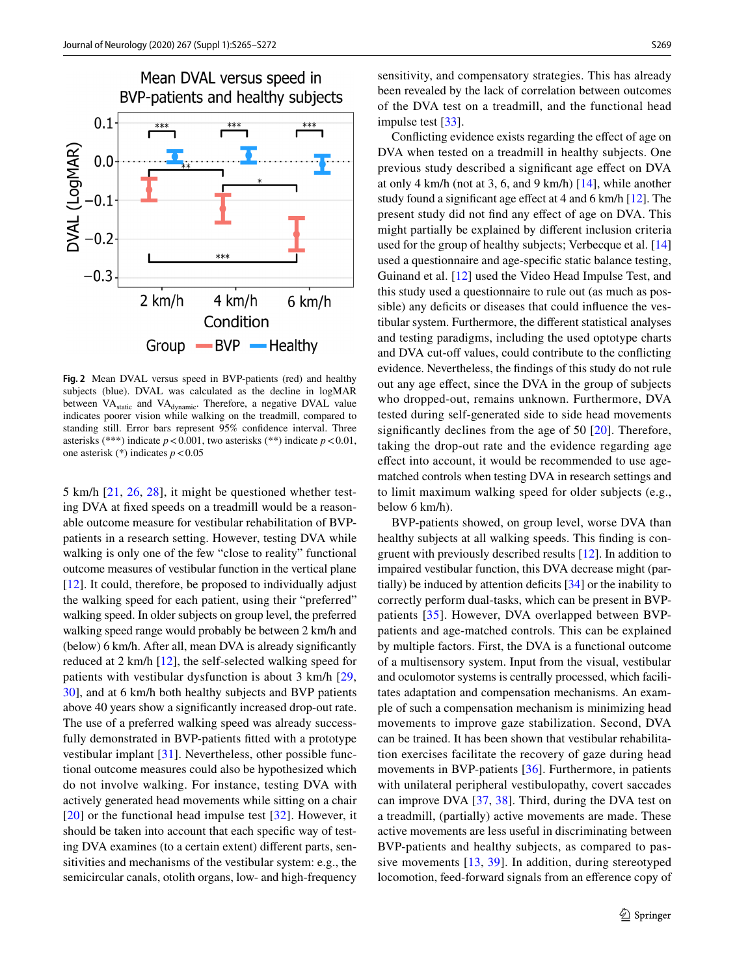

<span id="page-4-0"></span>**Fig. 2** Mean DVAL versus speed in BVP-patients (red) and healthy subjects (blue). DVAL was calculated as the decline in logMAR between VA<sub>static</sub> and VA<sub>dynamic</sub>. Therefore, a negative DVAL value indicates poorer vision while walking on the treadmill, compared to standing still. Error bars represent 95% confdence interval. Three asterisks (\*\*\*) indicate  $p < 0.001$ , two asterisks (\*\*) indicate  $p < 0.01$ , one asterisk (\*) indicates *p*<0.05

5 km/h [[21](#page-6-8), [26](#page-6-12), [28](#page-6-14)], it might be questioned whether testing DVA at fxed speeds on a treadmill would be a reasonable outcome measure for vestibular rehabilitation of BVPpatients in a research setting. However, testing DVA while walking is only one of the few "close to reality" functional outcome measures of vestibular function in the vertical plane [\[12\]](#page-6-2). It could, therefore, be proposed to individually adjust the walking speed for each patient, using their "preferred" walking speed. In older subjects on group level, the preferred walking speed range would probably be between 2 km/h and (below) 6 km/h. After all, mean DVA is already signifcantly reduced at 2 km/h [\[12](#page-6-2)], the self-selected walking speed for patients with vestibular dysfunction is about 3 km/h [[29,](#page-6-15) [30](#page-6-16)], and at 6 km/h both healthy subjects and BVP patients above 40 years show a signifcantly increased drop-out rate. The use of a preferred walking speed was already successfully demonstrated in BVP-patients ftted with a prototype vestibular implant [\[31](#page-6-17)]. Nevertheless, other possible functional outcome measures could also be hypothesized which do not involve walking. For instance, testing DVA with actively generated head movements while sitting on a chair [\[20\]](#page-6-7) or the functional head impulse test [[32](#page-6-18)]. However, it should be taken into account that each specifc way of testing DVA examines (to a certain extent) diferent parts, sensitivities and mechanisms of the vestibular system: e.g., the semicircular canals, otolith organs, low- and high-frequency sensitivity, and compensatory strategies. This has already been revealed by the lack of correlation between outcomes of the DVA test on a treadmill, and the functional head impulse test [\[33](#page-6-19)].

Conflicting evidence exists regarding the effect of age on DVA when tested on a treadmill in healthy subjects. One previous study described a signifcant age efect on DVA at only 4 km/h (not at 3, 6, and 9 km/h) [\[14\]](#page-6-3), while another study found a signifcant age efect at 4 and 6 km/h [\[12\]](#page-6-2). The present study did not fnd any efect of age on DVA. This might partially be explained by diferent inclusion criteria used for the group of healthy subjects; Verbecque et al. [[14](#page-6-3)] used a questionnaire and age-specifc static balance testing, Guinand et al. [\[12](#page-6-2)] used the Video Head Impulse Test, and this study used a questionnaire to rule out (as much as possible) any deficits or diseases that could influence the vestibular system. Furthermore, the diferent statistical analyses and testing paradigms, including the used optotype charts and DVA cut-off values, could contribute to the conflicting evidence. Nevertheless, the fndings of this study do not rule out any age efect, since the DVA in the group of subjects who dropped-out, remains unknown. Furthermore, DVA tested during self-generated side to side head movements signifcantly declines from the age of 50 [[20](#page-6-7)]. Therefore, taking the drop-out rate and the evidence regarding age efect into account, it would be recommended to use agematched controls when testing DVA in research settings and to limit maximum walking speed for older subjects (e.g., below 6 km/h).

BVP-patients showed, on group level, worse DVA than healthy subjects at all walking speeds. This fnding is congruent with previously described results [\[12](#page-6-2)]. In addition to impaired vestibular function, this DVA decrease might (par-tially) be induced by attention deficits [[34\]](#page-6-20) or the inability to correctly perform dual-tasks, which can be present in BVPpatients [[35](#page-6-21)]. However, DVA overlapped between BVPpatients and age-matched controls. This can be explained by multiple factors. First, the DVA is a functional outcome of a multisensory system. Input from the visual, vestibular and oculomotor systems is centrally processed, which facilitates adaptation and compensation mechanisms. An example of such a compensation mechanism is minimizing head movements to improve gaze stabilization. Second, DVA can be trained. It has been shown that vestibular rehabilitation exercises facilitate the recovery of gaze during head movements in BVP-patients [\[36](#page-6-22)]. Furthermore, in patients with unilateral peripheral vestibulopathy, covert saccades can improve DVA [\[37](#page-6-23), [38\]](#page-6-24). Third, during the DVA test on a treadmill, (partially) active movements are made. These active movements are less useful in discriminating between BVP-patients and healthy subjects, as compared to passive movements [\[13,](#page-6-25) [39\]](#page-6-26). In addition, during stereotyped locomotion, feed-forward signals from an eference copy of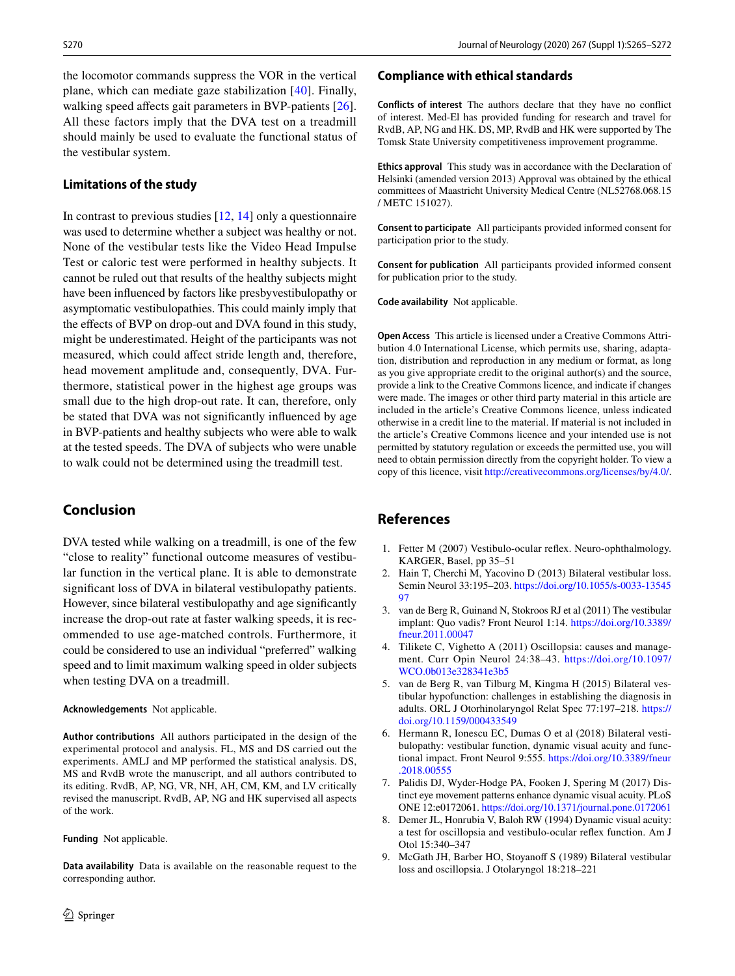the locomotor commands suppress the VOR in the vertical plane, which can mediate gaze stabilization [[40](#page-6-27)]. Finally, walking speed affects gait parameters in BVP-patients [\[26](#page-6-12)]. All these factors imply that the DVA test on a treadmill should mainly be used to evaluate the functional status of the vestibular system.

#### **Limitations of the study**

In contrast to previous studies [\[12](#page-6-2), [14](#page-6-3)] only a questionnaire was used to determine whether a subject was healthy or not. None of the vestibular tests like the Video Head Impulse Test or caloric test were performed in healthy subjects. It cannot be ruled out that results of the healthy subjects might have been infuenced by factors like presbyvestibulopathy or asymptomatic vestibulopathies. This could mainly imply that the effects of BVP on drop-out and DVA found in this study, might be underestimated. Height of the participants was not measured, which could afect stride length and, therefore, head movement amplitude and, consequently, DVA. Furthermore, statistical power in the highest age groups was small due to the high drop-out rate. It can, therefore, only be stated that DVA was not signifcantly infuenced by age in BVP-patients and healthy subjects who were able to walk at the tested speeds. The DVA of subjects who were unable to walk could not be determined using the treadmill test.

# **Conclusion**

DVA tested while walking on a treadmill, is one of the few "close to reality" functional outcome measures of vestibular function in the vertical plane. It is able to demonstrate signifcant loss of DVA in bilateral vestibulopathy patients. However, since bilateral vestibulopathy and age signifcantly increase the drop-out rate at faster walking speeds, it is recommended to use age-matched controls. Furthermore, it could be considered to use an individual "preferred" walking speed and to limit maximum walking speed in older subjects when testing DVA on a treadmill.

#### **Acknowledgements** Not applicable.

**Author contributions** All authors participated in the design of the experimental protocol and analysis. FL, MS and DS carried out the experiments. AMLJ and MP performed the statistical analysis. DS, MS and RvdB wrote the manuscript, and all authors contributed to its editing. RvdB, AP, NG, VR, NH, AH, CM, KM, and LV critically revised the manuscript. RvdB, AP, NG and HK supervised all aspects of the work.

**Funding** Not applicable.

**Data availability** Data is available on the reasonable request to the corresponding author.

#### **Compliance with ethical standards**

**Conflicts of interest** The authors declare that they have no confict of interest. Med-El has provided funding for research and travel for RvdB, AP, NG and HK. DS, MP, RvdB and HK were supported by The Tomsk State University competitiveness improvement programme.

**Ethics approval** This study was in accordance with the Declaration of Helsinki (amended version 2013) Approval was obtained by the ethical committees of Maastricht University Medical Centre (NL52768.068.15 / METC 151027).

**Consent to participate** All participants provided informed consent for participation prior to the study.

**Consent for publication** All participants provided informed consent for publication prior to the study.

**Code availability** Not applicable.

**Open Access** This article is licensed under a Creative Commons Attribution 4.0 International License, which permits use, sharing, adaptation, distribution and reproduction in any medium or format, as long as you give appropriate credit to the original author(s) and the source, provide a link to the Creative Commons licence, and indicate if changes were made. The images or other third party material in this article are included in the article's Creative Commons licence, unless indicated otherwise in a credit line to the material. If material is not included in the article's Creative Commons licence and your intended use is not permitted by statutory regulation or exceeds the permitted use, you will need to obtain permission directly from the copyright holder. To view a copy of this licence, visit<http://creativecommons.org/licenses/by/4.0/>.

# **References**

- <span id="page-5-0"></span>1. Fetter M (2007) Vestibulo-ocular refex. Neuro-ophthalmology. KARGER, Basel, pp 35–51
- <span id="page-5-1"></span>2. Hain T, Cherchi M, Yacovino D (2013) Bilateral vestibular loss. Semin Neurol 33:195–203. [https://doi.org/10.1055/s-0033-13545](https://doi.org/10.1055/s-0033-1354597) [97](https://doi.org/10.1055/s-0033-1354597)
- <span id="page-5-2"></span>3. van de Berg R, Guinand N, Stokroos RJ et al (2011) The vestibular implant: Quo vadis? Front Neurol 1:14. [https://doi.org/10.3389/](https://doi.org/10.3389/fneur.2011.00047) [fneur.2011.00047](https://doi.org/10.3389/fneur.2011.00047)
- <span id="page-5-3"></span>4. Tilikete C, Vighetto A (2011) Oscillopsia: causes and management. Curr Opin Neurol 24:38–43. [https://doi.org/10.1097/](https://doi.org/10.1097/WCO.0b013e328341e3b5) [WCO.0b013e328341e3b5](https://doi.org/10.1097/WCO.0b013e328341e3b5)
- <span id="page-5-5"></span>5. van de Berg R, van Tilburg M, Kingma H (2015) Bilateral vestibular hypofunction: challenges in establishing the diagnosis in adults. ORL J Otorhinolaryngol Relat Spec 77:197–218. [https://](https://doi.org/10.1159/000433549) [doi.org/10.1159/000433549](https://doi.org/10.1159/000433549)
- <span id="page-5-4"></span>6. Hermann R, Ionescu EC, Dumas O et al (2018) Bilateral vestibulopathy: vestibular function, dynamic visual acuity and functional impact. Front Neurol 9:555. [https://doi.org/10.3389/fneur](https://doi.org/10.3389/fneur.2018.00555) [.2018.00555](https://doi.org/10.3389/fneur.2018.00555)
- <span id="page-5-6"></span>7. Palidis DJ, Wyder-Hodge PA, Fooken J, Spering M (2017) Distinct eye movement patterns enhance dynamic visual acuity. PLoS ONE 12:e0172061. <https://doi.org/10.1371/journal.pone.0172061>
- <span id="page-5-7"></span>8. Demer JL, Honrubia V, Baloh RW (1994) Dynamic visual acuity: a test for oscillopsia and vestibulo-ocular refex function. Am J Otol 15:340–347
- <span id="page-5-8"></span>9. McGath JH, Barber HO, Stoyanoff S (1989) Bilateral vestibular loss and oscillopsia. J Otolaryngol 18:218–221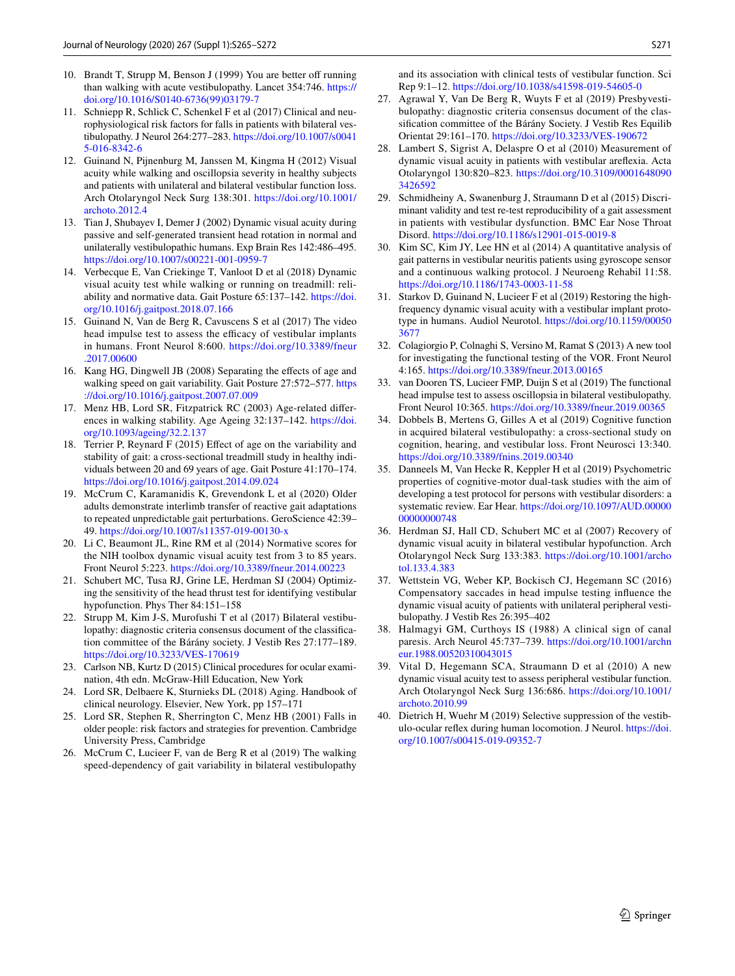- <span id="page-6-0"></span>10. Brandt T, Strupp M, Benson J (1999) You are better off running than walking with acute vestibulopathy. Lancet 354:746. [https://](https://doi.org/10.1016/S0140-6736(99)03179-7) [doi.org/10.1016/S0140-6736\(99\)03179-7](https://doi.org/10.1016/S0140-6736(99)03179-7)
- <span id="page-6-1"></span>11. Schniepp R, Schlick C, Schenkel F et al (2017) Clinical and neurophysiological risk factors for falls in patients with bilateral vestibulopathy. J Neurol 264:277–283. [https://doi.org/10.1007/s0041](https://doi.org/10.1007/s00415-016-8342-6) [5-016-8342-6](https://doi.org/10.1007/s00415-016-8342-6)
- <span id="page-6-2"></span>12. Guinand N, Pijnenburg M, Janssen M, Kingma H (2012) Visual acuity while walking and oscillopsia severity in healthy subjects and patients with unilateral and bilateral vestibular function loss. Arch Otolaryngol Neck Surg 138:301. [https://doi.org/10.1001/](https://doi.org/10.1001/archoto.2012.4) [archoto.2012.4](https://doi.org/10.1001/archoto.2012.4)
- <span id="page-6-25"></span>13. Tian J, Shubayev I, Demer J (2002) Dynamic visual acuity during passive and self-generated transient head rotation in normal and unilaterally vestibulopathic humans. Exp Brain Res 142:486–495. <https://doi.org/10.1007/s00221-001-0959-7>
- <span id="page-6-3"></span>14. Verbecque E, Van Criekinge T, Vanloot D et al (2018) Dynamic visual acuity test while walking or running on treadmill: reliability and normative data. Gait Posture 65:137–142. [https://doi.](https://doi.org/10.1016/j.gaitpost.2018.07.166) [org/10.1016/j.gaitpost.2018.07.166](https://doi.org/10.1016/j.gaitpost.2018.07.166)
- <span id="page-6-4"></span>15. Guinand N, Van de Berg R, Cavuscens S et al (2017) The video head impulse test to assess the efficacy of vestibular implants in humans. Front Neurol 8:600. [https://doi.org/10.3389/fneur](https://doi.org/10.3389/fneur.2017.00600) [.2017.00600](https://doi.org/10.3389/fneur.2017.00600)
- <span id="page-6-5"></span>16. Kang HG, Dingwell JB (2008) Separating the efects of age and walking speed on gait variability. Gait Posture 27:572–577. [https](https://doi.org/10.1016/j.gaitpost.2007.07.009) [://doi.org/10.1016/j.gaitpost.2007.07.009](https://doi.org/10.1016/j.gaitpost.2007.07.009)
- 17. Menz HB, Lord SR, Fitzpatrick RC (2003) Age-related diferences in walking stability. Age Ageing 32:137–142. [https://doi.](https://doi.org/10.1093/ageing/32.2.137) [org/10.1093/ageing/32.2.137](https://doi.org/10.1093/ageing/32.2.137)
- 18. Terrier P, Reynard F (2015) Efect of age on the variability and stability of gait: a cross-sectional treadmill study in healthy individuals between 20 and 69 years of age. Gait Posture 41:170–174. <https://doi.org/10.1016/j.gaitpost.2014.09.024>
- <span id="page-6-6"></span>19. McCrum C, Karamanidis K, Grevendonk L et al (2020) Older adults demonstrate interlimb transfer of reactive gait adaptations to repeated unpredictable gait perturbations. GeroScience 42:39– 49. <https://doi.org/10.1007/s11357-019-00130-x>
- <span id="page-6-7"></span>20. Li C, Beaumont JL, Rine RM et al (2014) Normative scores for the NIH toolbox dynamic visual acuity test from 3 to 85 years. Front Neurol 5:223.<https://doi.org/10.3389/fneur.2014.00223>
- <span id="page-6-8"></span>21. Schubert MC, Tusa RJ, Grine LE, Herdman SJ (2004) Optimizing the sensitivity of the head thrust test for identifying vestibular hypofunction. Phys Ther 84:151–158
- <span id="page-6-9"></span>22. Strupp M, Kim J-S, Murofushi T et al (2017) Bilateral vestibulopathy: diagnostic criteria consensus document of the classifcation committee of the Bárány society. J Vestib Res 27:177–189. <https://doi.org/10.3233/VES-170619>
- <span id="page-6-10"></span>23. Carlson NB, Kurtz D (2015) Clinical procedures for ocular examination, 4th edn. McGraw-Hill Education, New York
- <span id="page-6-11"></span>24. Lord SR, Delbaere K, Sturnieks DL (2018) Aging. Handbook of clinical neurology. Elsevier, New York, pp 157–171
- 25. Lord SR, Stephen R, Sherrington C, Menz HB (2001) Falls in older people: risk factors and strategies for prevention. Cambridge University Press, Cambridge
- <span id="page-6-12"></span>26. McCrum C, Lucieer F, van de Berg R et al (2019) The walking speed-dependency of gait variability in bilateral vestibulopathy

and its association with clinical tests of vestibular function. Sci Rep 9:1–12.<https://doi.org/10.1038/s41598-019-54605-0>

- <span id="page-6-13"></span>27. Agrawal Y, Van De Berg R, Wuyts F et al (2019) Presbyvestibulopathy: diagnostic criteria consensus document of the classifcation committee of the Bárány Society. J Vestib Res Equilib Orientat 29:161–170.<https://doi.org/10.3233/VES-190672>
- <span id="page-6-14"></span>28. Lambert S, Sigrist A, Delaspre O et al (2010) Measurement of dynamic visual acuity in patients with vestibular arefexia. Acta Otolaryngol 130:820–823. [https://doi.org/10.3109/0001648090](https://doi.org/10.3109/00016480903426592) [3426592](https://doi.org/10.3109/00016480903426592)
- <span id="page-6-15"></span>29. Schmidheiny A, Swanenburg J, Straumann D et al (2015) Discriminant validity and test re-test reproducibility of a gait assessment in patients with vestibular dysfunction. BMC Ear Nose Throat Disord. <https://doi.org/10.1186/s12901-015-0019-8>
- <span id="page-6-16"></span>30. Kim SC, Kim JY, Lee HN et al (2014) A quantitative analysis of gait patterns in vestibular neuritis patients using gyroscope sensor and a continuous walking protocol. J Neuroeng Rehabil 11:58. <https://doi.org/10.1186/1743-0003-11-58>
- <span id="page-6-17"></span>31. Starkov D, Guinand N, Lucieer F et al (2019) Restoring the highfrequency dynamic visual acuity with a vestibular implant prototype in humans. Audiol Neurotol. [https://doi.org/10.1159/00050](https://doi.org/10.1159/000503677) [3677](https://doi.org/10.1159/000503677)
- <span id="page-6-18"></span>32. Colagiorgio P, Colnaghi S, Versino M, Ramat S (2013) A new tool for investigating the functional testing of the VOR. Front Neurol 4:165.<https://doi.org/10.3389/fneur.2013.00165>
- <span id="page-6-19"></span>33. van Dooren TS, Lucieer FMP, Duijn S et al (2019) The functional head impulse test to assess oscillopsia in bilateral vestibulopathy. Front Neurol 10:365. <https://doi.org/10.3389/fneur.2019.00365>
- <span id="page-6-20"></span>34. Dobbels B, Mertens G, Gilles A et al (2019) Cognitive function in acquired bilateral vestibulopathy: a cross-sectional study on cognition, hearing, and vestibular loss. Front Neurosci 13:340. <https://doi.org/10.3389/fnins.2019.00340>
- <span id="page-6-21"></span>35. Danneels M, Van Hecke R, Keppler H et al (2019) Psychometric properties of cognitive-motor dual-task studies with the aim of developing a test protocol for persons with vestibular disorders: a systematic review. Ear Hear. [https://doi.org/10.1097/AUD.00000](https://doi.org/10.1097/AUD.0000000000000748) [00000000748](https://doi.org/10.1097/AUD.0000000000000748)
- <span id="page-6-22"></span>36. Herdman SJ, Hall CD, Schubert MC et al (2007) Recovery of dynamic visual acuity in bilateral vestibular hypofunction. Arch Otolaryngol Neck Surg 133:383. [https://doi.org/10.1001/archo](https://doi.org/10.1001/archotol.133.4.383) [tol.133.4.383](https://doi.org/10.1001/archotol.133.4.383)
- <span id="page-6-23"></span>37. Wettstein VG, Weber KP, Bockisch CJ, Hegemann SC (2016) Compensatory saccades in head impulse testing infuence the dynamic visual acuity of patients with unilateral peripheral vestibulopathy. J Vestib Res 26:395–402
- <span id="page-6-24"></span>38. Halmagyi GM, Curthoys IS (1988) A clinical sign of canal paresis. Arch Neurol 45:737–739. [https://doi.org/10.1001/archn](https://doi.org/10.1001/archneur.1988.00520310043015) [eur.1988.00520310043015](https://doi.org/10.1001/archneur.1988.00520310043015)
- <span id="page-6-26"></span>39. Vital D, Hegemann SCA, Straumann D et al (2010) A new dynamic visual acuity test to assess peripheral vestibular function. Arch Otolaryngol Neck Surg 136:686. [https://doi.org/10.1001/](https://doi.org/10.1001/archoto.2010.99) [archoto.2010.99](https://doi.org/10.1001/archoto.2010.99)
- <span id="page-6-27"></span>40. Dietrich H, Wuehr M (2019) Selective suppression of the vestibulo-ocular refex during human locomotion. J Neurol. [https://doi.](https://doi.org/10.1007/s00415-019-09352-7) [org/10.1007/s00415-019-09352-7](https://doi.org/10.1007/s00415-019-09352-7)